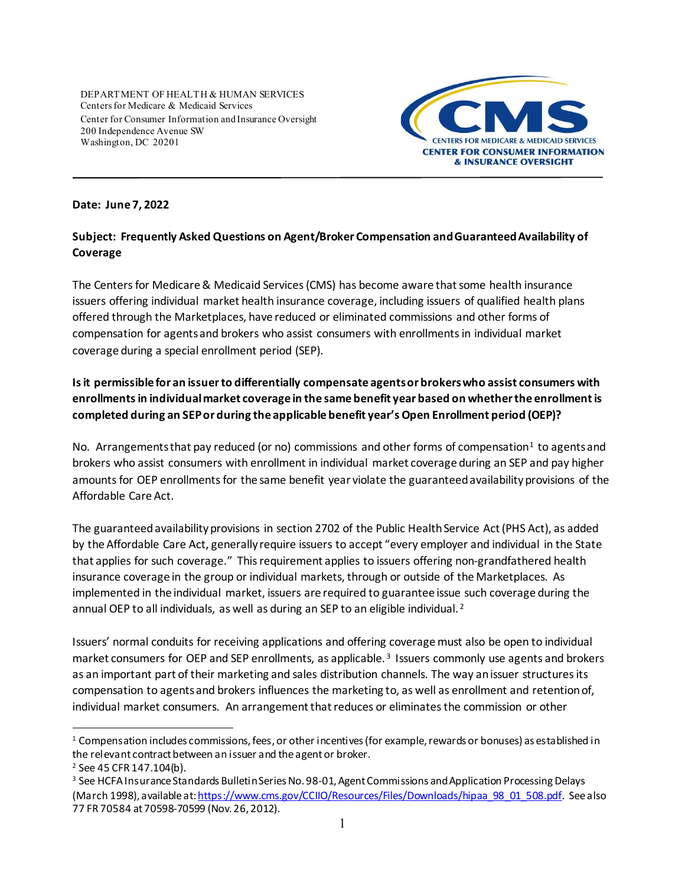DEPARTMENT OF HEALTH & HUMAN SERVICES Centers for Medicare & Medicaid Services Center for Consumer Information and Insurance Oversight 200 Independence Avenue SW Washington, DC 20201



## **Date: June 7, 2022**

## **Subject: Frequently Asked Questions on Agent/Broker Compensation and Guaranteed Availability of Coverage**

The Centers for Medicare & Medicaid Services (CMS) has become aware that some health insurance issuers offering individual market health insurance coverage, including issuers of qualified health plans offered through the Marketplaces, have reduced or eliminated commissions and other forms of compensation for agents and brokers who assist consumers with enrollments in individual market coverage during a special enrollment period (SEP).

## **Is it permissible for an issuer to differentially compensate agents or brokers who assist consumers with enrollments in individual market coverage in the same benefit year based on whether the enrollment is completed during an SEP or during the applicable benefit year's Open Enrollment period (OEP)?**

No. Arrangements that pay reduced (or no) commissions and other forms of compensation<sup>[1](#page-0-0)</sup> to agents and brokers who assist consumers with enrollment in individual market coverage during an SEP and pay higher amounts for OEP enrollments for the same benefit year violate the guaranteed availability provisions of the Affordable Care Act.

The guaranteed availability provisions in section 2702 of the Public Health Service Act (PHS Act), as added by the Affordable Care Act, generally require issuers to accept "every employer and individual in the State that applies for such coverage." This requirement applies to issuers offering non-grandfathered health insurance coverage in the group or individual markets, through or outside of the Marketplaces. As implemented in the individual market, issuers are required to guarantee issue such coverage during the annual OEP to all individuals, as well as during an SEP to an eligible individual. [2](#page-0-1)

Issuers' normal conduits for receiving applications and offering coverage must also be open to individual market consumers for OEP and SEP enrollments, as applicable.<sup>[3](#page-0-2)</sup> Issuers commonly use agents and brokers as an important part of their marketing and sales distribution channels. The way an issuer structures its compensation to agents and brokers influences the marketing to, as well as enrollment and retention of, individual market consumers. An arrangement that reduces or eliminates the commission or other

<span id="page-0-0"></span> $1$  Compensation includes commissions, fees, or other incentives (for example, rewards or bonuses) as established in the relevant contract between an issuer and the agent or broker.  $\overline{a}$ 

<span id="page-0-1"></span><sup>2</sup> See 45 CFR 147.104(b).

<span id="page-0-2"></span><sup>&</sup>lt;sup>3</sup> See HCFA Insurance Standards Bulletin Series No. 98-01, Agent Commissions and Application Processing Delays (March 1998), available at[: https://www.cms.gov/CCIIO/Resources/Files/Downloads/hipaa\\_98\\_01\\_508.pdf](https://www.cms.gov/CCIIO/Resources/Files/Downloads/hipaa_98_01_508.pdf). See also 77 FR 70584 at 70598-70599 (Nov. 26, 2012).